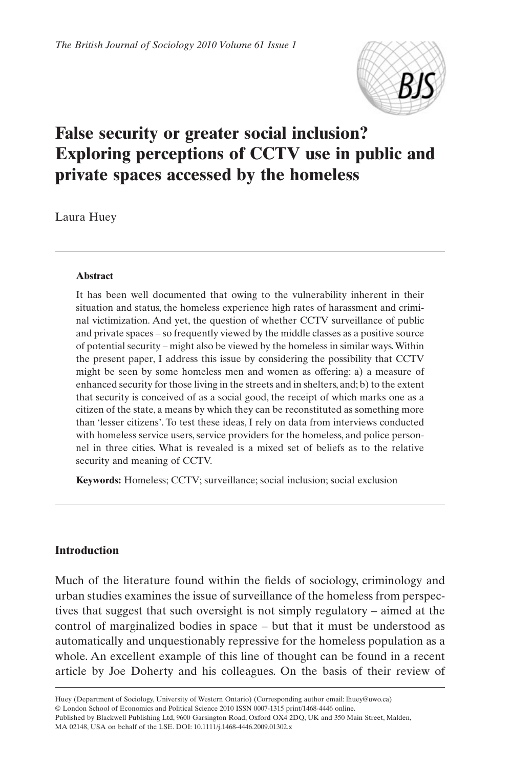

# **False security or greater social inclusion? Exploring perceptions of CCTV use in public and** private spaces accessed by the homeless

Laura Huey

#### **Abstract**

It has been well documented that owing to the vulnerability inherent in their situation and status, the homeless experience high rates of harassment and criminal victimization. And yet, the question of whether CCTV surveillance of public and private spaces – so frequently viewed by the middle classes as a positive source of potential security – might also be viewed by the homeless in similar ways.Within the present paper, I address this issue by considering the possibility that CCTV might be seen by some homeless men and women as offering: a) a measure of enhanced security for those living in the streets and in shelters, and; b) to the extent that security is conceived of as a social good, the receipt of which marks one as a citizen of the state, a means by which they can be reconstituted as something more than 'lesser citizens'. To test these ideas, I rely on data from interviews conducted with homeless service users, service providers for the homeless, and police personnel in three cities. What is revealed is a mixed set of beliefs as to the relative security and meaning of CCTV.

**Keywords:** Homeless; CCTV; surveillance; social inclusion; social exclusion

#### **Introduction**

Much of the literature found within the fields of sociology, criminology and urban studies examines the issue of surveillance of the homeless from perspectives that suggest that such oversight is not simply regulatory – aimed at the control of marginalized bodies in space – but that it must be understood as automatically and unquestionably repressive for the homeless population as a whole. An excellent example of this line of thought can be found in a recent article by Joe Doherty and his colleagues. On the basis of their review of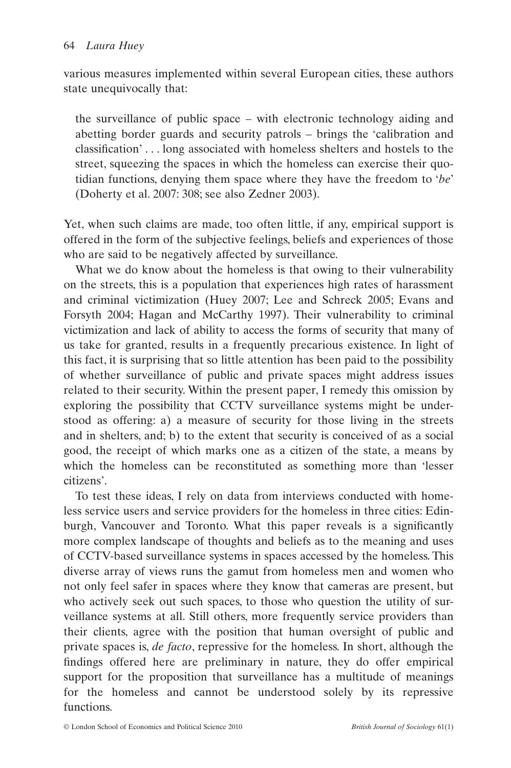various measures implemented within several European cities, these authors state unequivocally that:

the surveillance of public space – with electronic technology aiding and abetting border guards and security patrols – brings the 'calibration and classification'... long associated with homeless shelters and hostels to the street, squeezing the spaces in which the homeless can exercise their quotidian functions, denying them space where they have the freedom to '*be*' (Doherty et al. 2007: 308; see also Zedner 2003).

Yet, when such claims are made, too often little, if any, empirical support is offered in the form of the subjective feelings, beliefs and experiences of those who are said to be negatively affected by surveillance.

What we do know about the homeless is that owing to their vulnerability on the streets, this is a population that experiences high rates of harassment and criminal victimization (Huey 2007; Lee and Schreck 2005; Evans and Forsyth 2004; Hagan and McCarthy 1997). Their vulnerability to criminal victimization and lack of ability to access the forms of security that many of us take for granted, results in a frequently precarious existence. In light of this fact, it is surprising that so little attention has been paid to the possibility of whether surveillance of public and private spaces might address issues related to their security. Within the present paper, I remedy this omission by exploring the possibility that CCTV surveillance systems might be understood as offering: a) a measure of security for those living in the streets and in shelters, and; b) to the extent that security is conceived of as a social good, the receipt of which marks one as a citizen of the state, a means by which the homeless can be reconstituted as something more than 'lesser citizens'.

To test these ideas, I rely on data from interviews conducted with homeless service users and service providers for the homeless in three cities: Edinburgh, Vancouver and Toronto. What this paper reveals is a significantly more complex landscape of thoughts and beliefs as to the meaning and uses of CCTV-based surveillance systems in spaces accessed by the homeless. This diverse array of views runs the gamut from homeless men and women who not only feel safer in spaces where they know that cameras are present, but who actively seek out such spaces, to those who question the utility of surveillance systems at all. Still others, more frequently service providers than their clients, agree with the position that human oversight of public and private spaces is, *de facto*, repressive for the homeless. In short, although the findings offered here are preliminary in nature, they do offer empirical support for the proposition that surveillance has a multitude of meanings for the homeless and cannot be understood solely by its repressive functions.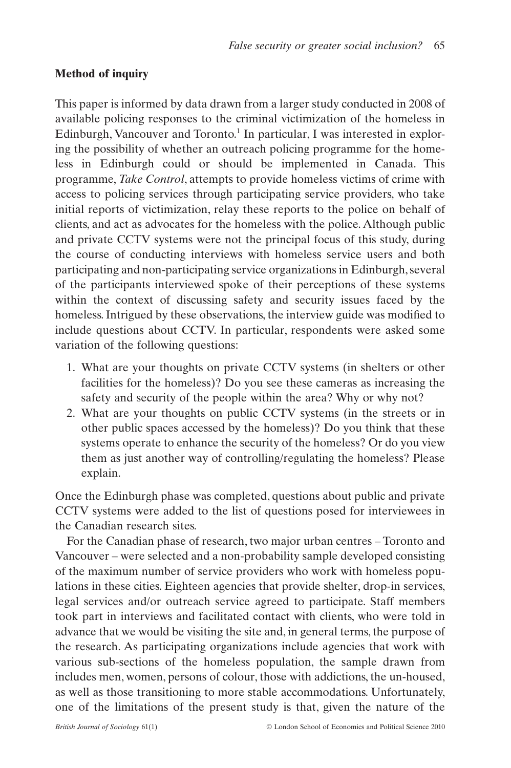## **Method of inquiry**

This paper is informed by data drawn from a larger study conducted in 2008 of available policing responses to the criminal victimization of the homeless in Edinburgh, Vancouver and Toronto.<sup>1</sup> In particular, I was interested in exploring the possibility of whether an outreach policing programme for the homeless in Edinburgh could or should be implemented in Canada. This programme, *Take Control*, attempts to provide homeless victims of crime with access to policing services through participating service providers, who take initial reports of victimization, relay these reports to the police on behalf of clients, and act as advocates for the homeless with the police. Although public and private CCTV systems were not the principal focus of this study, during the course of conducting interviews with homeless service users and both participating and non-participating service organizations in Edinburgh, several of the participants interviewed spoke of their perceptions of these systems within the context of discussing safety and security issues faced by the homeless. Intrigued by these observations, the interview guide was modified to include questions about CCTV. In particular, respondents were asked some variation of the following questions:

- 1. What are your thoughts on private CCTV systems (in shelters or other facilities for the homeless)? Do you see these cameras as increasing the safety and security of the people within the area? Why or why not?
- 2. What are your thoughts on public CCTV systems (in the streets or in other public spaces accessed by the homeless)? Do you think that these systems operate to enhance the security of the homeless? Or do you view them as just another way of controlling/regulating the homeless? Please explain.

Once the Edinburgh phase was completed, questions about public and private CCTV systems were added to the list of questions posed for interviewees in the Canadian research sites.

For the Canadian phase of research, two major urban centres – Toronto and Vancouver – were selected and a non-probability sample developed consisting of the maximum number of service providers who work with homeless populations in these cities. Eighteen agencies that provide shelter, drop-in services, legal services and/or outreach service agreed to participate. Staff members took part in interviews and facilitated contact with clients, who were told in advance that we would be visiting the site and, in general terms, the purpose of the research. As participating organizations include agencies that work with various sub-sections of the homeless population, the sample drawn from includes men, women, persons of colour, those with addictions, the un-housed, as well as those transitioning to more stable accommodations. Unfortunately, one of the limitations of the present study is that, given the nature of the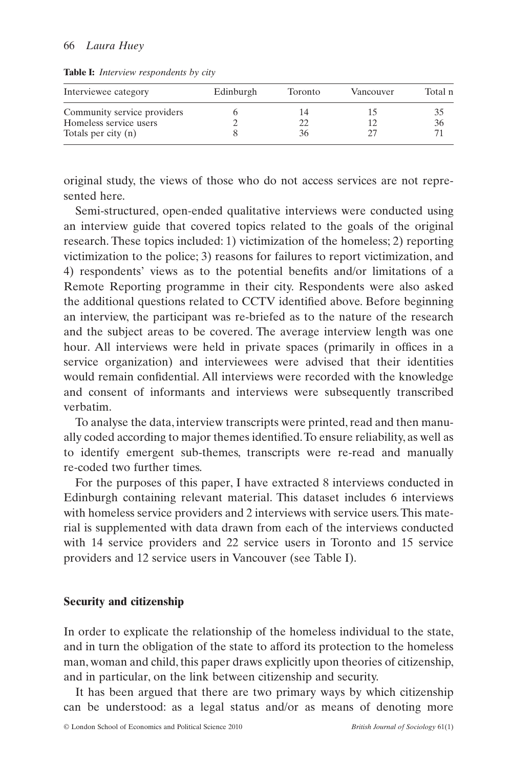#### 66 *Laura Huey*

| Interviewee category        | Edinburgh | Toronto | Vancouver | Total n |
|-----------------------------|-----------|---------|-----------|---------|
| Community service providers |           | 14      |           | 35      |
| Homeless service users      |           | 22      |           | 36      |
| Totals per city $(n)$       |           | 36      |           |         |

**Table I:** *Interview respondents by city*

original study, the views of those who do not access services are not represented here.

Semi-structured, open-ended qualitative interviews were conducted using an interview guide that covered topics related to the goals of the original research. These topics included: 1) victimization of the homeless; 2) reporting victimization to the police; 3) reasons for failures to report victimization, and 4) respondents' views as to the potential benefits and/or limitations of a Remote Reporting programme in their city. Respondents were also asked the additional questions related to CCTV identified above. Before beginning an interview, the participant was re-briefed as to the nature of the research and the subject areas to be covered. The average interview length was one hour. All interviews were held in private spaces (primarily in offices in a service organization) and interviewees were advised that their identities would remain confidential. All interviews were recorded with the knowledge and consent of informants and interviews were subsequently transcribed verbatim.

To analyse the data, interview transcripts were printed, read and then manually coded according to major themes identified.To ensure reliability, as well as to identify emergent sub-themes, transcripts were re-read and manually re-coded two further times.

For the purposes of this paper, I have extracted 8 interviews conducted in Edinburgh containing relevant material. This dataset includes 6 interviews with homeless service providers and 2 interviews with service users.This material is supplemented with data drawn from each of the interviews conducted with 14 service providers and 22 service users in Toronto and 15 service providers and 12 service users in Vancouver (see Table I).

#### **Security and citizenship**

In order to explicate the relationship of the homeless individual to the state, and in turn the obligation of the state to afford its protection to the homeless man, woman and child, this paper draws explicitly upon theories of citizenship, and in particular, on the link between citizenship and security.

It has been argued that there are two primary ways by which citizenship can be understood: as a legal status and/or as means of denoting more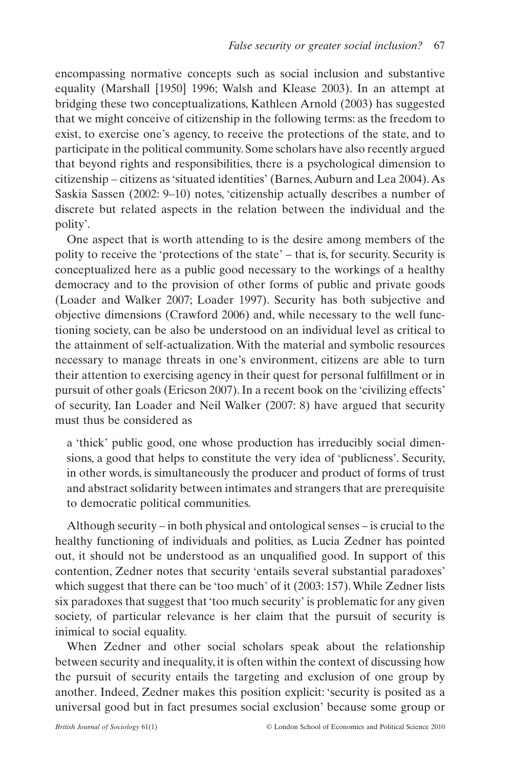encompassing normative concepts such as social inclusion and substantive equality (Marshall [1950] 1996; Walsh and Klease 2003). In an attempt at bridging these two conceptualizations, Kathleen Arnold (2003) has suggested that we might conceive of citizenship in the following terms: as the freedom to exist, to exercise one's agency, to receive the protections of the state, and to participate in the political community. Some scholars have also recently argued that beyond rights and responsibilities, there is a psychological dimension to citizenship – citizens as 'situated identities' (Barnes,Auburn and Lea 2004).As Saskia Sassen (2002: 9–10) notes, 'citizenship actually describes a number of discrete but related aspects in the relation between the individual and the polity'.

One aspect that is worth attending to is the desire among members of the polity to receive the 'protections of the state' – that is, for security. Security is conceptualized here as a public good necessary to the workings of a healthy democracy and to the provision of other forms of public and private goods (Loader and Walker 2007; Loader 1997). Security has both subjective and objective dimensions (Crawford 2006) and, while necessary to the well functioning society, can be also be understood on an individual level as critical to the attainment of self-actualization. With the material and symbolic resources necessary to manage threats in one's environment, citizens are able to turn their attention to exercising agency in their quest for personal fulfillment or in pursuit of other goals (Ericson 2007). In a recent book on the 'civilizing effects' of security, Ian Loader and Neil Walker (2007: 8) have argued that security must thus be considered as

a 'thick' public good, one whose production has irreducibly social dimensions, a good that helps to constitute the very idea of 'publicness'. Security, in other words, is simultaneously the producer and product of forms of trust and abstract solidarity between intimates and strangers that are prerequisite to democratic political communities.

Although security – in both physical and ontological senses – is crucial to the healthy functioning of individuals and polities, as Lucia Zedner has pointed out, it should not be understood as an unqualified good. In support of this contention, Zedner notes that security 'entails several substantial paradoxes' which suggest that there can be 'too much' of it (2003: 157). While Zedner lists six paradoxes that suggest that 'too much security' is problematic for any given society, of particular relevance is her claim that the pursuit of security is inimical to social equality.

When Zedner and other social scholars speak about the relationship between security and inequality, it is often within the context of discussing how the pursuit of security entails the targeting and exclusion of one group by another. Indeed, Zedner makes this position explicit: 'security is posited as a universal good but in fact presumes social exclusion' because some group or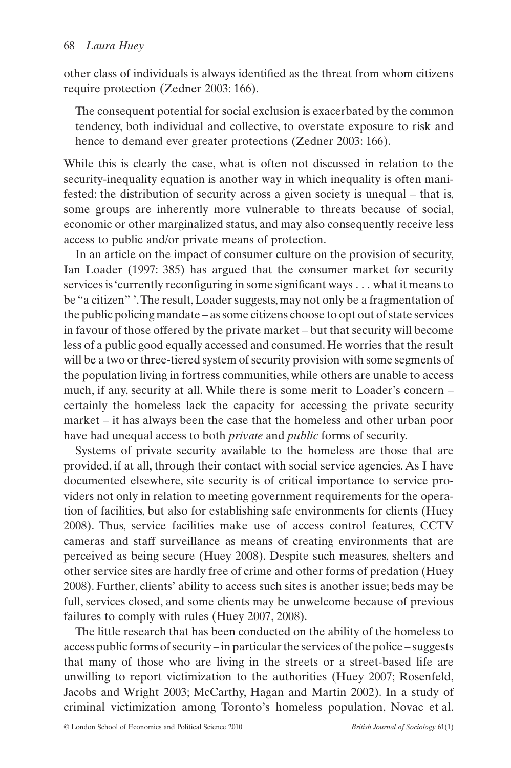other class of individuals is always identified as the threat from whom citizens require protection (Zedner 2003: 166).

The consequent potential for social exclusion is exacerbated by the common tendency, both individual and collective, to overstate exposure to risk and hence to demand ever greater protections (Zedner 2003: 166).

While this is clearly the case, what is often not discussed in relation to the security-inequality equation is another way in which inequality is often manifested: the distribution of security across a given society is unequal – that is, some groups are inherently more vulnerable to threats because of social, economic or other marginalized status, and may also consequently receive less access to public and/or private means of protection.

In an article on the impact of consumer culture on the provision of security, Ian Loader (1997: 385) has argued that the consumer market for security services is 'currently reconfiguring in some significant ways... what it means to be "a citizen" '.The result, Loader suggests, may not only be a fragmentation of the public policing mandate – as some citizens choose to opt out of state services in favour of those offered by the private market – but that security will become less of a public good equally accessed and consumed. He worries that the result will be a two or three-tiered system of security provision with some segments of the population living in fortress communities, while others are unable to access much, if any, security at all. While there is some merit to Loader's concern – certainly the homeless lack the capacity for accessing the private security market – it has always been the case that the homeless and other urban poor have had unequal access to both *private* and *public* forms of security.

Systems of private security available to the homeless are those that are provided, if at all, through their contact with social service agencies. As I have documented elsewhere, site security is of critical importance to service providers not only in relation to meeting government requirements for the operation of facilities, but also for establishing safe environments for clients (Huey 2008). Thus, service facilities make use of access control features, CCTV cameras and staff surveillance as means of creating environments that are perceived as being secure (Huey 2008). Despite such measures, shelters and other service sites are hardly free of crime and other forms of predation (Huey 2008). Further, clients' ability to access such sites is another issue; beds may be full, services closed, and some clients may be unwelcome because of previous failures to comply with rules (Huey 2007, 2008).

The little research that has been conducted on the ability of the homeless to access public forms of security – in particular the services of the police – suggests that many of those who are living in the streets or a street-based life are unwilling to report victimization to the authorities (Huey 2007; Rosenfeld, Jacobs and Wright 2003; McCarthy, Hagan and Martin 2002). In a study of criminal victimization among Toronto's homeless population, Novac et al.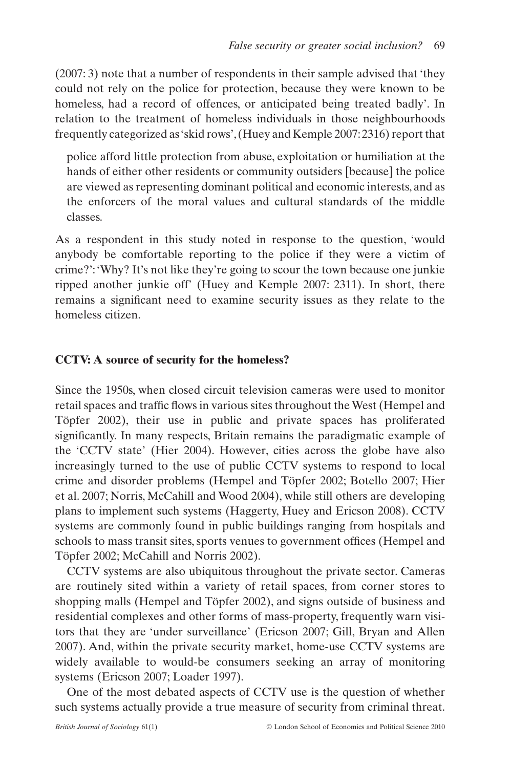(2007: 3) note that a number of respondents in their sample advised that 'they could not rely on the police for protection, because they were known to be homeless, had a record of offences, or anticipated being treated badly'. In relation to the treatment of homeless individuals in those neighbourhoods frequently categorized as'skid rows',(Huey and Kemple 2007:2316) report that

police afford little protection from abuse, exploitation or humiliation at the hands of either other residents or community outsiders [because] the police are viewed as representing dominant political and economic interests, and as the enforcers of the moral values and cultural standards of the middle classes.

As a respondent in this study noted in response to the question, 'would anybody be comfortable reporting to the police if they were a victim of crime?':'Why? It's not like they're going to scour the town because one junkie ripped another junkie off' (Huey and Kemple 2007: 2311). In short, there remains a significant need to examine security issues as they relate to the homeless citizen.

# **CCTV: A source of security for the homeless?**

Since the 1950s, when closed circuit television cameras were used to monitor retail spaces and traffic flows in various sites throughout the West (Hempel and Töpfer 2002), their use in public and private spaces has proliferated significantly. In many respects, Britain remains the paradigmatic example of the 'CCTV state' (Hier 2004). However, cities across the globe have also increasingly turned to the use of public CCTV systems to respond to local crime and disorder problems (Hempel and Töpfer 2002; Botello 2007; Hier et al. 2007; Norris, McCahill and Wood 2004), while still others are developing plans to implement such systems (Haggerty, Huey and Ericson 2008). CCTV systems are commonly found in public buildings ranging from hospitals and schools to mass transit sites, sports venues to government offices (Hempel and Töpfer 2002; McCahill and Norris 2002).

CCTV systems are also ubiquitous throughout the private sector. Cameras are routinely sited within a variety of retail spaces, from corner stores to shopping malls (Hempel and Töpfer 2002), and signs outside of business and residential complexes and other forms of mass-property, frequently warn visitors that they are 'under surveillance' (Ericson 2007; Gill, Bryan and Allen 2007). And, within the private security market, home-use CCTV systems are widely available to would-be consumers seeking an array of monitoring systems (Ericson 2007; Loader 1997).

One of the most debated aspects of CCTV use is the question of whether such systems actually provide a true measure of security from criminal threat.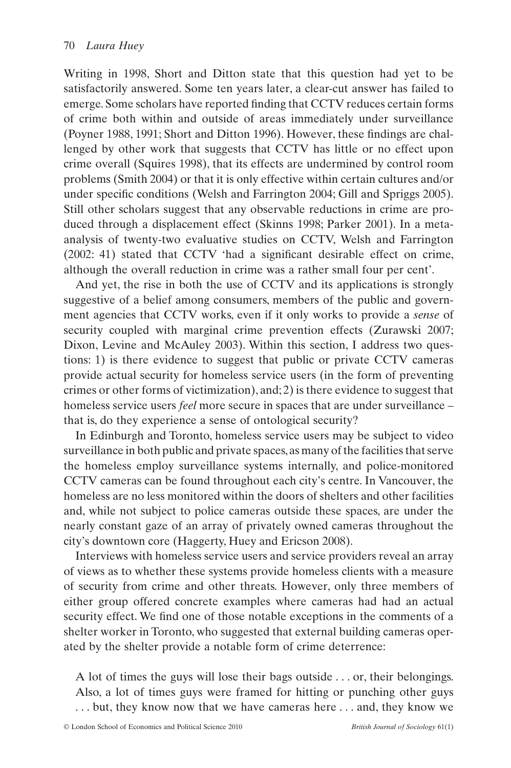Writing in 1998, Short and Ditton state that this question had yet to be satisfactorily answered. Some ten years later, a clear-cut answer has failed to emerge. Some scholars have reported finding that CCTV reduces certain forms of crime both within and outside of areas immediately under surveillance (Poyner 1988, 1991; Short and Ditton 1996). However, these findings are challenged by other work that suggests that CCTV has little or no effect upon crime overall (Squires 1998), that its effects are undermined by control room problems (Smith 2004) or that it is only effective within certain cultures and/or under specific conditions (Welsh and Farrington 2004; Gill and Spriggs 2005). Still other scholars suggest that any observable reductions in crime are produced through a displacement effect (Skinns 1998; Parker 2001). In a metaanalysis of twenty-two evaluative studies on CCTV, Welsh and Farrington (2002: 41) stated that CCTV 'had a significant desirable effect on crime, although the overall reduction in crime was a rather small four per cent'.

And yet, the rise in both the use of CCTV and its applications is strongly suggestive of a belief among consumers, members of the public and government agencies that CCTV works, even if it only works to provide a *sense* of security coupled with marginal crime prevention effects (Zurawski 2007; Dixon, Levine and McAuley 2003). Within this section, I address two questions: 1) is there evidence to suggest that public or private CCTV cameras provide actual security for homeless service users (in the form of preventing crimes or other forms of victimization), and; 2) is there evidence to suggest that homeless service users *feel* more secure in spaces that are under surveillance – that is, do they experience a sense of ontological security?

In Edinburgh and Toronto, homeless service users may be subject to video surveillance in both public and private spaces, as many of the facilities that serve the homeless employ surveillance systems internally, and police-monitored CCTV cameras can be found throughout each city's centre. In Vancouver, the homeless are no less monitored within the doors of shelters and other facilities and, while not subject to police cameras outside these spaces, are under the nearly constant gaze of an array of privately owned cameras throughout the city's downtown core (Haggerty, Huey and Ericson 2008).

Interviews with homeless service users and service providers reveal an array of views as to whether these systems provide homeless clients with a measure of security from crime and other threats. However, only three members of either group offered concrete examples where cameras had had an actual security effect. We find one of those notable exceptions in the comments of a shelter worker in Toronto, who suggested that external building cameras operated by the shelter provide a notable form of crime deterrence:

A lot of times the guys will lose their bags outside . . . or, their belongings. Also, a lot of times guys were framed for hitting or punching other guys . . . but, they know now that we have cameras here... and, they know we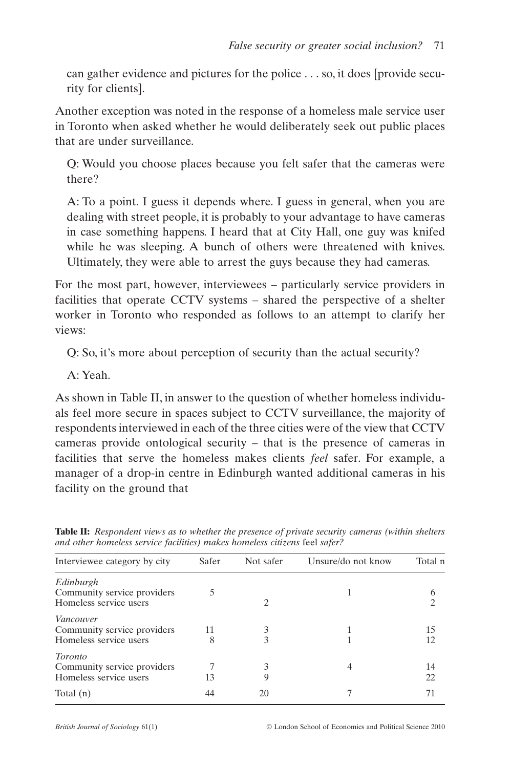can gather evidence and pictures for the police . . . so, it does [provide security for clients].

Another exception was noted in the response of a homeless male service user in Toronto when asked whether he would deliberately seek out public places that are under surveillance.

Q: Would you choose places because you felt safer that the cameras were there?

A: To a point. I guess it depends where. I guess in general, when you are dealing with street people, it is probably to your advantage to have cameras in case something happens. I heard that at City Hall, one guy was knifed while he was sleeping. A bunch of others were threatened with knives. Ultimately, they were able to arrest the guys because they had cameras.

For the most part, however, interviewees – particularly service providers in facilities that operate CCTV systems – shared the perspective of a shelter worker in Toronto who responded as follows to an attempt to clarify her views:

Q: So, it's more about perception of security than the actual security?

A: Yeah.

As shown in Table II, in answer to the question of whether homeless individuals feel more secure in spaces subject to CCTV surveillance, the majority of respondents interviewed in each of the three cities were of the view that CCTV cameras provide ontological security – that is the presence of cameras in facilities that serve the homeless makes clients *feel* safer. For example, a manager of a drop-in centre in Edinburgh wanted additional cameras in his facility on the ground that

| Interviewee category by city                                            | Safer   | Not safer                   | Unsure/do not know | Total n  |  |
|-------------------------------------------------------------------------|---------|-----------------------------|--------------------|----------|--|
| Edinburgh<br>Community service providers<br>Homeless service users      |         | $\mathcal{D}_{\mathcal{L}}$ |                    | 6<br>っ   |  |
| Vancouver<br>Community service providers<br>Homeless service users      | 11<br>8 | 3                           |                    | 15<br>12 |  |
| <b>Toronto</b><br>Community service providers<br>Homeless service users | 13      | 3<br>9                      | 4                  | 14<br>22 |  |
| Total $(n)$                                                             | 44      | 20                          |                    | 71       |  |

**Table II:** *Respondent views as to whether the presence of private security cameras (within shelters and other homeless service facilities) makes homeless citizens* feel *safer?*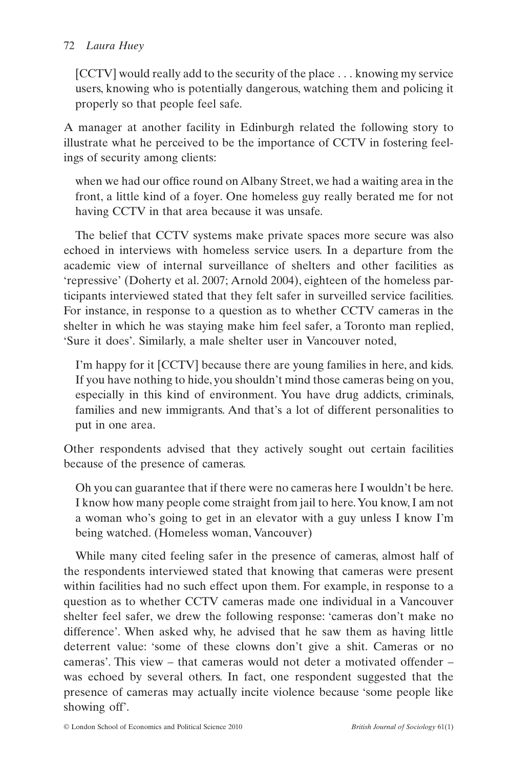## 72 *Laura Huey*

[CCTV] would really add to the security of the place... knowing my service users, knowing who is potentially dangerous, watching them and policing it properly so that people feel safe.

A manager at another facility in Edinburgh related the following story to illustrate what he perceived to be the importance of CCTV in fostering feelings of security among clients:

when we had our office round on Albany Street, we had a waiting area in the front, a little kind of a foyer. One homeless guy really berated me for not having CCTV in that area because it was unsafe.

The belief that CCTV systems make private spaces more secure was also echoed in interviews with homeless service users. In a departure from the academic view of internal surveillance of shelters and other facilities as 'repressive' (Doherty et al. 2007; Arnold 2004), eighteen of the homeless participants interviewed stated that they felt safer in surveilled service facilities. For instance, in response to a question as to whether CCTV cameras in the shelter in which he was staying make him feel safer, a Toronto man replied, 'Sure it does'. Similarly, a male shelter user in Vancouver noted,

I'm happy for it [CCTV] because there are young families in here, and kids. If you have nothing to hide, you shouldn't mind those cameras being on you, especially in this kind of environment. You have drug addicts, criminals, families and new immigrants. And that's a lot of different personalities to put in one area.

Other respondents advised that they actively sought out certain facilities because of the presence of cameras.

Oh you can guarantee that if there were no cameras here I wouldn't be here. I know how many people come straight from jail to here.You know, I am not a woman who's going to get in an elevator with a guy unless I know I'm being watched. (Homeless woman, Vancouver)

While many cited feeling safer in the presence of cameras, almost half of the respondents interviewed stated that knowing that cameras were present within facilities had no such effect upon them. For example, in response to a question as to whether CCTV cameras made one individual in a Vancouver shelter feel safer, we drew the following response: 'cameras don't make no difference'. When asked why, he advised that he saw them as having little deterrent value: 'some of these clowns don't give a shit. Cameras or no cameras'. This view – that cameras would not deter a motivated offender – was echoed by several others. In fact, one respondent suggested that the presence of cameras may actually incite violence because 'some people like showing off'.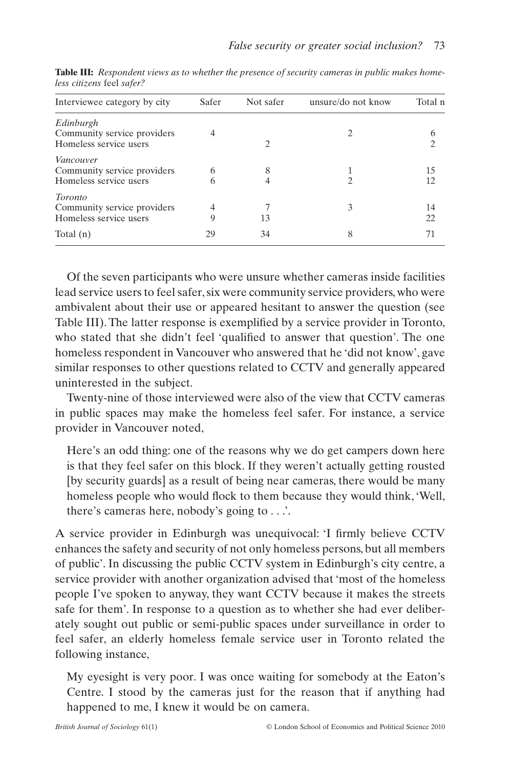| Interviewee category by city                                            | Safer  | Not safer     | unsure/do not know | Total n  |
|-------------------------------------------------------------------------|--------|---------------|--------------------|----------|
| Edinburgh<br>Community service providers<br>Homeless service users      | 4      | $\mathcal{L}$ | 2                  |          |
| Vancouver<br>Community service providers<br>Homeless service users      | 6<br>6 | 8             | 2                  | 15<br>12 |
| <b>Toronto</b><br>Community service providers<br>Homeless service users | 4<br>9 | 13            | 3                  | 14<br>22 |
| Total $(n)$                                                             | 29     | 34            | 8                  | 71       |

**Table III:** *Respondent views as to whether the presence of security cameras in public makes homeless citizens* feel *safer?*

Of the seven participants who were unsure whether cameras inside facilities lead service users to feel safer, six were community service providers, who were ambivalent about their use or appeared hesitant to answer the question (see Table III). The latter response is exemplified by a service provider in Toronto, who stated that she didn't feel 'qualified to answer that question'. The one homeless respondent in Vancouver who answered that he 'did not know', gave similar responses to other questions related to CCTV and generally appeared uninterested in the subject.

Twenty-nine of those interviewed were also of the view that CCTV cameras in public spaces may make the homeless feel safer. For instance, a service provider in Vancouver noted,

Here's an odd thing: one of the reasons why we do get campers down here is that they feel safer on this block. If they weren't actually getting rousted [by security guards] as a result of being near cameras, there would be many homeless people who would flock to them because they would think, 'Well, there's cameras here, nobody's going to . . .'.

A service provider in Edinburgh was unequivocal: 'I firmly believe CCTV enhances the safety and security of not only homeless persons, but all members of public'. In discussing the public CCTV system in Edinburgh's city centre, a service provider with another organization advised that 'most of the homeless people I've spoken to anyway, they want CCTV because it makes the streets safe for them'. In response to a question as to whether she had ever deliberately sought out public or semi-public spaces under surveillance in order to feel safer, an elderly homeless female service user in Toronto related the following instance,

My eyesight is very poor. I was once waiting for somebody at the Eaton's Centre. I stood by the cameras just for the reason that if anything had happened to me, I knew it would be on camera.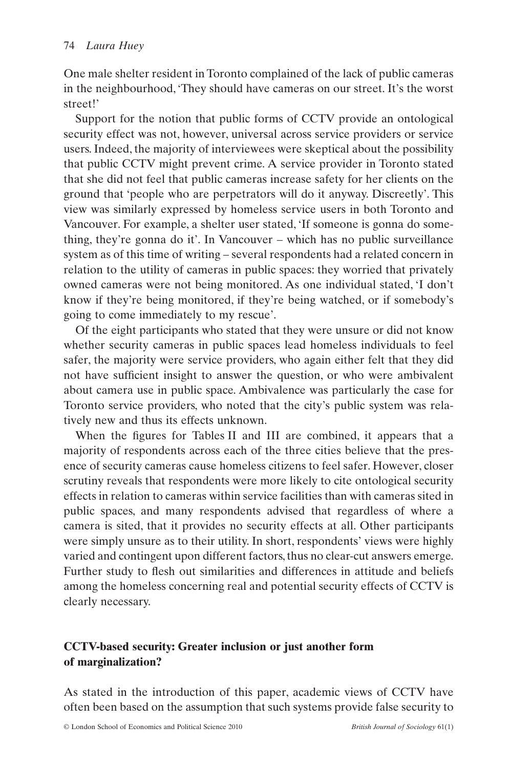One male shelter resident in Toronto complained of the lack of public cameras in the neighbourhood, 'They should have cameras on our street. It's the worst street!'

Support for the notion that public forms of CCTV provide an ontological security effect was not, however, universal across service providers or service users. Indeed, the majority of interviewees were skeptical about the possibility that public CCTV might prevent crime. A service provider in Toronto stated that she did not feel that public cameras increase safety for her clients on the ground that 'people who are perpetrators will do it anyway. Discreetly'. This view was similarly expressed by homeless service users in both Toronto and Vancouver. For example, a shelter user stated, 'If someone is gonna do something, they're gonna do it'. In Vancouver – which has no public surveillance system as of this time of writing – several respondents had a related concern in relation to the utility of cameras in public spaces: they worried that privately owned cameras were not being monitored. As one individual stated, 'I don't know if they're being monitored, if they're being watched, or if somebody's going to come immediately to my rescue'.

Of the eight participants who stated that they were unsure or did not know whether security cameras in public spaces lead homeless individuals to feel safer, the majority were service providers, who again either felt that they did not have sufficient insight to answer the question, or who were ambivalent about camera use in public space. Ambivalence was particularly the case for Toronto service providers, who noted that the city's public system was relatively new and thus its effects unknown.

When the figures for Tables II and III are combined, it appears that a majority of respondents across each of the three cities believe that the presence of security cameras cause homeless citizens to feel safer. However, closer scrutiny reveals that respondents were more likely to cite ontological security effects in relation to cameras within service facilities than with cameras sited in public spaces, and many respondents advised that regardless of where a camera is sited, that it provides no security effects at all. Other participants were simply unsure as to their utility. In short, respondents' views were highly varied and contingent upon different factors, thus no clear-cut answers emerge. Further study to flesh out similarities and differences in attitude and beliefs among the homeless concerning real and potential security effects of CCTV is clearly necessary.

# **CCTV-based security: Greater inclusion or just another form of marginalization?**

As stated in the introduction of this paper, academic views of CCTV have often been based on the assumption that such systems provide false security to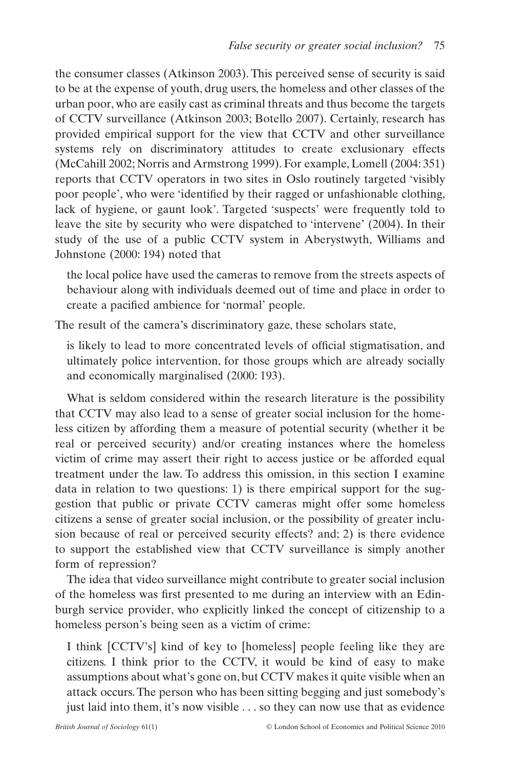the consumer classes (Atkinson 2003). This perceived sense of security is said to be at the expense of youth, drug users, the homeless and other classes of the urban poor, who are easily cast as criminal threats and thus become the targets of CCTV surveillance (Atkinson 2003; Botello 2007). Certainly, research has provided empirical support for the view that CCTV and other surveillance systems rely on discriminatory attitudes to create exclusionary effects (McCahill 2002; Norris and Armstrong 1999). For example, Lomell (2004: 351) reports that CCTV operators in two sites in Oslo routinely targeted 'visibly poor people', who were 'identified by their ragged or unfashionable clothing, lack of hygiene, or gaunt look'. Targeted 'suspects' were frequently told to leave the site by security who were dispatched to 'intervene' (2004). In their study of the use of a public CCTV system in Aberystwyth, Williams and Johnstone (2000: 194) noted that

the local police have used the cameras to remove from the streets aspects of behaviour along with individuals deemed out of time and place in order to create a pacified ambience for 'normal' people.

The result of the camera's discriminatory gaze, these scholars state,

is likely to lead to more concentrated levels of official stigmatisation, and ultimately police intervention, for those groups which are already socially and economically marginalised (2000: 193).

What is seldom considered within the research literature is the possibility that CCTV may also lead to a sense of greater social inclusion for the homeless citizen by affording them a measure of potential security (whether it be real or perceived security) and/or creating instances where the homeless victim of crime may assert their right to access justice or be afforded equal treatment under the law. To address this omission, in this section I examine data in relation to two questions: 1) is there empirical support for the suggestion that public or private CCTV cameras might offer some homeless citizens a sense of greater social inclusion, or the possibility of greater inclusion because of real or perceived security effects? and; 2) is there evidence to support the established view that CCTV surveillance is simply another form of repression?

The idea that video surveillance might contribute to greater social inclusion of the homeless was first presented to me during an interview with an Edinburgh service provider, who explicitly linked the concept of citizenship to a homeless person's being seen as a victim of crime:

I think [CCTV's] kind of key to [homeless] people feeling like they are citizens. I think prior to the CCTV, it would be kind of easy to make assumptions about what's gone on, but CCTV makes it quite visible when an attack occurs. The person who has been sitting begging and just somebody's just laid into them, it's now visible . . . so they can now use that as evidence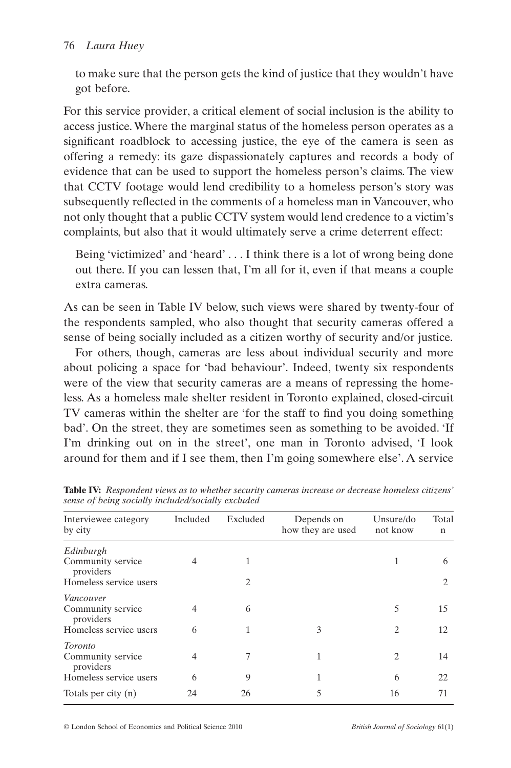to make sure that the person gets the kind of justice that they wouldn't have got before.

For this service provider, a critical element of social inclusion is the ability to access justice. Where the marginal status of the homeless person operates as a significant roadblock to accessing justice, the eye of the camera is seen as offering a remedy: its gaze dispassionately captures and records a body of evidence that can be used to support the homeless person's claims. The view that CCTV footage would lend credibility to a homeless person's story was subsequently reflected in the comments of a homeless man in Vancouver, who not only thought that a public CCTV system would lend credence to a victim's complaints, but also that it would ultimately serve a crime deterrent effect:

Being 'victimized' and 'heard'...I think there is a lot of wrong being done out there. If you can lessen that, I'm all for it, even if that means a couple extra cameras.

As can be seen in Table IV below, such views were shared by twenty-four of the respondents sampled, who also thought that security cameras offered a sense of being socially included as a citizen worthy of security and/or justice.

For others, though, cameras are less about individual security and more about policing a space for 'bad behaviour'. Indeed, twenty six respondents were of the view that security cameras are a means of repressing the homeless. As a homeless male shelter resident in Toronto explained, closed-circuit TV cameras within the shelter are 'for the staff to find you doing something bad'. On the street, they are sometimes seen as something to be avoided. 'If I'm drinking out on in the street', one man in Toronto advised, 'I look around for them and if I see them, then I'm going somewhere else'. A service

| Interviewee category<br>by city | Included | Excluded | Depends on<br>how they are used | Unsure/do<br>not know | Total<br>n    |
|---------------------------------|----------|----------|---------------------------------|-----------------------|---------------|
| Edinburgh                       |          |          |                                 |                       |               |
| Community service<br>providers  |          |          |                                 |                       | 6             |
| Homeless service users          |          | 2        |                                 |                       | $\mathcal{L}$ |
| Vancouver                       |          |          |                                 |                       |               |
| Community service<br>providers  | 4        | 6        |                                 | 5                     | 15            |
| Homeless service users          | 6        |          | 3                               | $\mathcal{P}$         | 12            |
| Toronto                         |          |          |                                 |                       |               |
| Community service<br>providers  | 4        |          |                                 | $\mathcal{P}$         | 14            |
| Homeless service users          | 6        | 9        |                                 | 6                     | 22            |
| Totals per city $(n)$           | 24       | 26       |                                 | 16                    | 71            |

**Table IV:** *Respondent views as to whether security cameras increase or decrease homeless citizens' sense of being socially included/socially excluded*

© London School of Economics and Political Science 2010 *British Journal of Sociology* 61(1)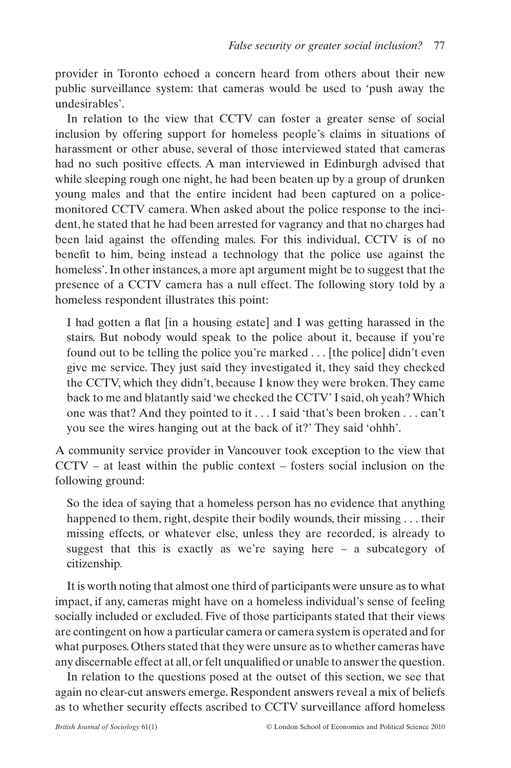provider in Toronto echoed a concern heard from others about their new public surveillance system: that cameras would be used to 'push away the undesirables'.

In relation to the view that CCTV can foster a greater sense of social inclusion by offering support for homeless people's claims in situations of harassment or other abuse, several of those interviewed stated that cameras had no such positive effects. A man interviewed in Edinburgh advised that while sleeping rough one night, he had been beaten up by a group of drunken young males and that the entire incident had been captured on a policemonitored CCTV camera. When asked about the police response to the incident, he stated that he had been arrested for vagrancy and that no charges had been laid against the offending males. For this individual, CCTV is of no benefit to him, being instead a technology that the police use against the homeless'. In other instances, a more apt argument might be to suggest that the presence of a CCTV camera has a null effect. The following story told by a homeless respondent illustrates this point:

I had gotten a flat [in a housing estate] and I was getting harassed in the stairs. But nobody would speak to the police about it, because if you're found out to be telling the police you're marked... [the police] didn't even give me service. They just said they investigated it, they said they checked the CCTV, which they didn't, because I know they were broken. They came back to me and blatantly said 'we checked the CCTV' I said, oh yeah? Which one was that? And they pointed to it...I said 'that's been broken... can't you see the wires hanging out at the back of it?' They said 'ohhh'.

A community service provider in Vancouver took exception to the view that CCTV – at least within the public context – fosters social inclusion on the following ground:

So the idea of saying that a homeless person has no evidence that anything happened to them, right, despite their bodily wounds, their missing... their missing effects, or whatever else, unless they are recorded, is already to suggest that this is exactly as we're saying here – a subcategory of citizenship.

It is worth noting that almost one third of participants were unsure as to what impact, if any, cameras might have on a homeless individual's sense of feeling socially included or excluded. Five of those participants stated that their views are contingent on how a particular camera or camera system is operated and for what purposes. Others stated that they were unsure as to whether cameras have any discernable effect at all,or felt unqualified or unable to answer the question.

In relation to the questions posed at the outset of this section, we see that again no clear-cut answers emerge. Respondent answers reveal a mix of beliefs as to whether security effects ascribed to CCTV surveillance afford homeless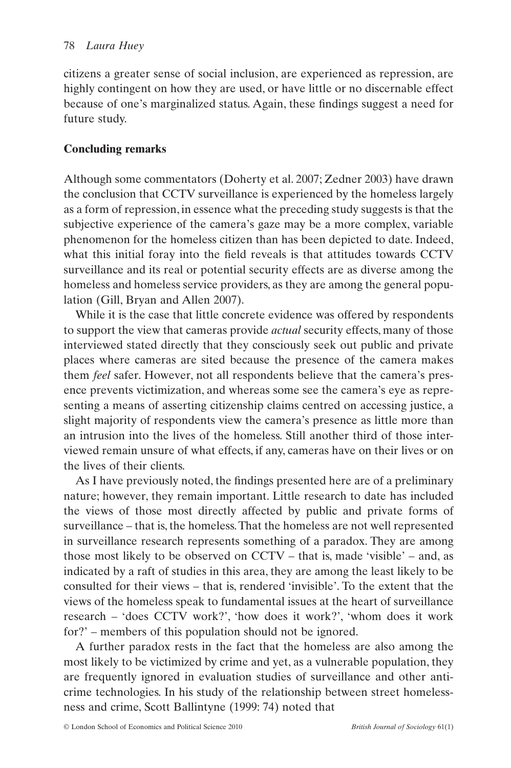#### 78 *Laura Huey*

citizens a greater sense of social inclusion, are experienced as repression, are highly contingent on how they are used, or have little or no discernable effect because of one's marginalized status. Again, these findings suggest a need for future study.

#### **Concluding remarks**

Although some commentators (Doherty et al. 2007; Zedner 2003) have drawn the conclusion that CCTV surveillance is experienced by the homeless largely as a form of repression, in essence what the preceding study suggests is that the subjective experience of the camera's gaze may be a more complex, variable phenomenon for the homeless citizen than has been depicted to date. Indeed, what this initial foray into the field reveals is that attitudes towards CCTV surveillance and its real or potential security effects are as diverse among the homeless and homeless service providers, as they are among the general population (Gill, Bryan and Allen 2007).

While it is the case that little concrete evidence was offered by respondents to support the view that cameras provide *actual* security effects, many of those interviewed stated directly that they consciously seek out public and private places where cameras are sited because the presence of the camera makes them *feel* safer. However, not all respondents believe that the camera's presence prevents victimization, and whereas some see the camera's eye as representing a means of asserting citizenship claims centred on accessing justice, a slight majority of respondents view the camera's presence as little more than an intrusion into the lives of the homeless. Still another third of those interviewed remain unsure of what effects, if any, cameras have on their lives or on the lives of their clients.

As I have previously noted, the findings presented here are of a preliminary nature; however, they remain important. Little research to date has included the views of those most directly affected by public and private forms of surveillance – that is, the homeless.That the homeless are not well represented in surveillance research represents something of a paradox. They are among those most likely to be observed on CCTV – that is, made 'visible' – and, as indicated by a raft of studies in this area, they are among the least likely to be consulted for their views – that is, rendered 'invisible'. To the extent that the views of the homeless speak to fundamental issues at the heart of surveillance research – 'does CCTV work?', 'how does it work?', 'whom does it work for?' – members of this population should not be ignored.

A further paradox rests in the fact that the homeless are also among the most likely to be victimized by crime and yet, as a vulnerable population, they are frequently ignored in evaluation studies of surveillance and other anticrime technologies. In his study of the relationship between street homelessness and crime, Scott Ballintyne (1999: 74) noted that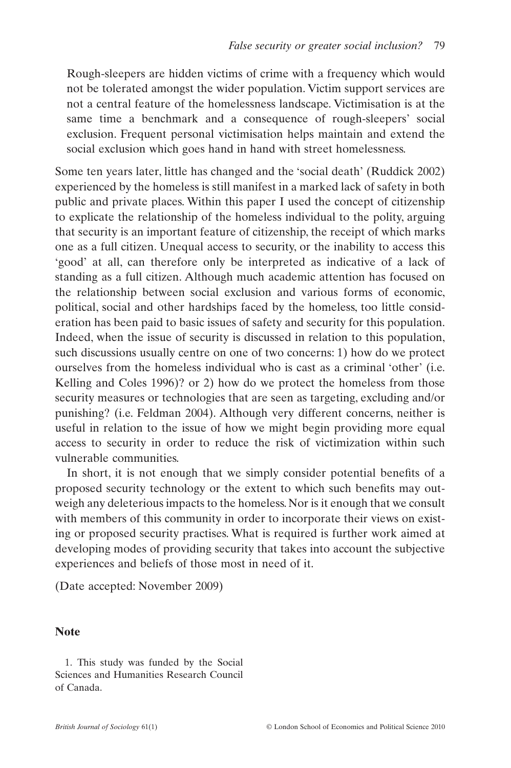Rough-sleepers are hidden victims of crime with a frequency which would not be tolerated amongst the wider population. Victim support services are not a central feature of the homelessness landscape. Victimisation is at the same time a benchmark and a consequence of rough-sleepers' social exclusion. Frequent personal victimisation helps maintain and extend the social exclusion which goes hand in hand with street homelessness.

Some ten years later, little has changed and the 'social death' (Ruddick 2002) experienced by the homeless is still manifest in a marked lack of safety in both public and private places. Within this paper I used the concept of citizenship to explicate the relationship of the homeless individual to the polity, arguing that security is an important feature of citizenship, the receipt of which marks one as a full citizen. Unequal access to security, or the inability to access this 'good' at all, can therefore only be interpreted as indicative of a lack of standing as a full citizen. Although much academic attention has focused on the relationship between social exclusion and various forms of economic, political, social and other hardships faced by the homeless, too little consideration has been paid to basic issues of safety and security for this population. Indeed, when the issue of security is discussed in relation to this population, such discussions usually centre on one of two concerns: 1) how do we protect ourselves from the homeless individual who is cast as a criminal 'other' (i.e. Kelling and Coles 1996)? or 2) how do we protect the homeless from those security measures or technologies that are seen as targeting, excluding and/or punishing? (i.e. Feldman 2004). Although very different concerns, neither is useful in relation to the issue of how we might begin providing more equal access to security in order to reduce the risk of victimization within such vulnerable communities.

In short, it is not enough that we simply consider potential benefits of a proposed security technology or the extent to which such benefits may outweigh any deleterious impacts to the homeless. Nor is it enough that we consult with members of this community in order to incorporate their views on existing or proposed security practises. What is required is further work aimed at developing modes of providing security that takes into account the subjective experiences and beliefs of those most in need of it.

(Date accepted: November 2009)

#### **Note**

1. This study was funded by the Social Sciences and Humanities Research Council of Canada.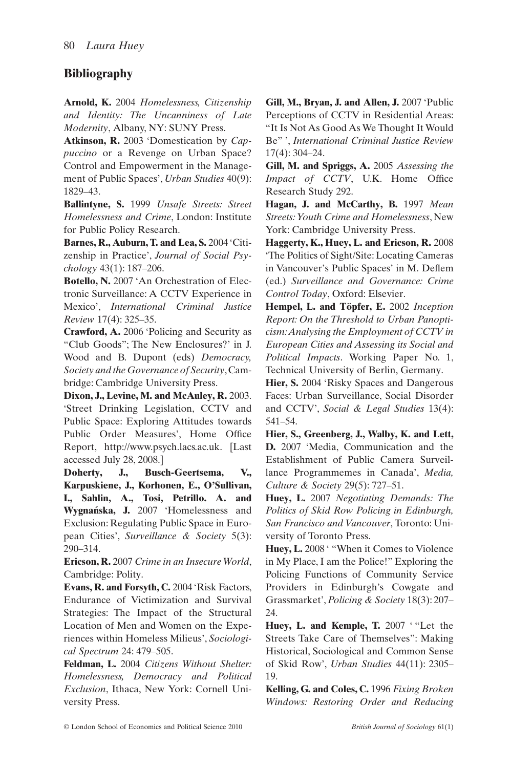# **Bibliography**

**Arnold, K.** 2004 *Homelessness, Citizenship and Identity: The Uncanniness of Late Modernity*, Albany, NY: SUNY Press.

**Atkinson, R.** 2003 'Domestication by *Cappuccino* or a Revenge on Urban Space? Control and Empowerment in the Management of Public Spaces', *Urban Studies* 40(9): 1829–43.

**Ballintyne, S.** 1999 *Unsafe Streets: Street Homelessness and Crime*, London: Institute for Public Policy Research.

**Barnes, R., Auburn, T. and Lea, S.** 2004 'Citizenship in Practice', *Journal of Social Psychology* 43(1): 187–206.

**Botello, N.** 2007 'An Orchestration of Electronic Surveillance: A CCTV Experience in Mexico', *International Criminal Justice Review* 17(4): 325–35.

**Crawford, A.** 2006 'Policing and Security as "Club Goods"; The New Enclosures?' in J. Wood and B. Dupont (eds) *Democracy, Society and the Governance of Security*,Cambridge: Cambridge University Press.

**Dixon, J., Levine, M. and McAuley, R.** 2003. 'Street Drinking Legislation, CCTV and Public Space: Exploring Attitudes towards Public Order Measures', Home Office Report, http://www.psych.lacs.ac.uk. [Last accessed July 28, 2008.]

**Doherty, J., Busch-Geertsema, V., Karpuskiene, J., Korhonen, E., O'Sullivan, I., Sahlin, A., Tosi, Petrillo. A. and** Wygnańska, J. 2007 'Homelessness and Exclusion: Regulating Public Space in European Cities', *Surveillance & Society* 5(3): 290–314.

**Ericson, R.** 2007 *Crime in an InsecureWorld*, Cambridge: Polity.

**Evans, R. and Forsyth, C.** 2004 'Risk Factors, Endurance of Victimization and Survival Strategies: The Impact of the Structural Location of Men and Women on the Experiences within Homeless Milieus', *Sociological Spectrum* 24: 479–505.

**Feldman, L.** 2004 *Citizens Without Shelter: Homelessness, Democracy and Political Exclusion*, Ithaca, New York: Cornell University Press.

**Gill, M., Bryan, J. and Allen, J.** 2007 'Public Perceptions of CCTV in Residential Areas: "It Is Not As Good As We Thought It Would Be" ', *International Criminal Justice Review* 17(4): 304–24.

**Gill, M. and Spriggs, A.** 2005 *Assessing the Impact of CCTV*, U.K. Home Office Research Study 292.

**Hagan, J. and McCarthy, B.** 1997 *Mean Streets: Youth Crime and Homelessness*, New York: Cambridge University Press.

**Haggerty, K., Huey, L. and Ericson, R.** 2008 'The Politics of Sight/Site: Locating Cameras in Vancouver's Public Spaces' in M. Deflem (ed.) *Surveillance and Governance: Crime Control Today*, Oxford: Elsevier.

**Hempel, L. and Töpfer, E.** 2002 *Inception Report: On the Threshold to Urban Panopticism:Analysing the Employment of CCTV in European Cities and Assessing its Social and Political Impacts*. Working Paper No. 1, Technical University of Berlin, Germany.

**Hier, S.** 2004 'Risky Spaces and Dangerous Faces: Urban Surveillance, Social Disorder and CCTV', *Social & Legal Studies* 13(4): 541–54.

**Hier, S., Greenberg, J., Walby, K. and Lett, D.** 2007 'Media, Communication and the Establishment of Public Camera Surveillance Programmemes in Canada', *Media, Culture & Society* 29(5): 727–51.

**Huey, L.** 2007 *Negotiating Demands: The Politics of Skid Row Policing in Edinburgh, San Francisco and Vancouver*, Toronto: University of Toronto Press.

Huey, L. 2008 ' "When it Comes to Violence in My Place, I am the Police!" Exploring the Policing Functions of Community Service Providers in Edinburgh's Cowgate and Grassmarket', *Policing & Society* 18(3): 207– 24.

**Huey, L. and Kemple, T.** 2007 ' "Let the Streets Take Care of Themselves": Making Historical, Sociological and Common Sense of Skid Row', *Urban Studies* 44(11): 2305– 19.

**Kelling, G. and Coles, C.** 1996 *Fixing Broken Windows: Restoring Order and Reducing*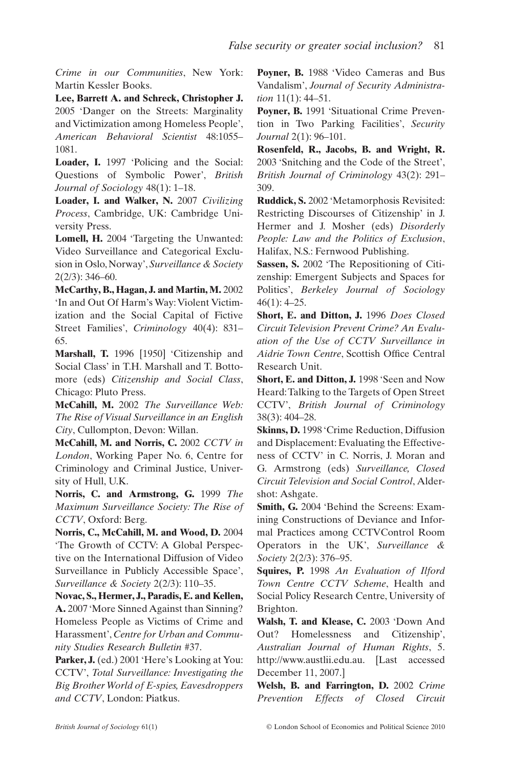*Crime in our Communities*, New York: Martin Kessler Books.

**Lee, Barrett A. and Schreck, Christopher J.** 2005 'Danger on the Streets: Marginality and Victimization among Homeless People', *American Behavioral Scientist* 48:1055– 1081.

**Loader, I.** 1997 'Policing and the Social: Questions of Symbolic Power', *British Journal of Sociology* 48(1): 1–18.

**Loader, I. and Walker, N.** 2007 *Civilizing Process*, Cambridge, UK: Cambridge University Press.

**Lomell, H.** 2004 'Targeting the Unwanted: Video Surveillance and Categorical Exclusion in Oslo, Norway', *Surveillance & Society* 2(2/3): 346–60.

**McCarthy, B., Hagan, J. and Martin, M.** 2002 'In and Out Of Harm's Way: Violent Victimization and the Social Capital of Fictive Street Families', *Criminology* 40(4): 831– 65.

**Marshall, T.** 1996 [1950] 'Citizenship and Social Class' in T.H. Marshall and T. Bottomore (eds) *Citizenship and Social Class*, Chicago: Pluto Press.

**McCahill, M.** 2002 *The Surveillance Web: The Rise of Visual Surveillance in an English City*, Cullompton, Devon: Willan.

**McCahill, M. and Norris, C.** 2002 *CCTV in London*, Working Paper No. 6, Centre for Criminology and Criminal Justice, University of Hull, U.K.

**Norris, C. and Armstrong, G.** 1999 *The Maximum Surveillance Society: The Rise of CCTV*, Oxford: Berg.

**Norris, C., McCahill, M. and Wood, D.** 2004 'The Growth of CCTV: A Global Perspective on the International Diffusion of Video Surveillance in Publicly Accessible Space', *Surveillance & Society* 2(2/3): 110–35.

**Novac, S., Hermer, J., Paradis, E. and Kellen, A.** 2007 'More Sinned Against than Sinning? Homeless People as Victims of Crime and Harassment', *Centre for Urban and Community Studies Research Bulletin* #37.

Parker, J. (ed.) 2001 'Here's Looking at You: CCTV', *Total Surveillance: Investigating the Big Brother World of E-spies, Eavesdroppers and CCTV*, London: Piatkus.

**Poyner, B.** 1988 'Video Cameras and Bus Vandalism', *Journal of Security Administration* 11(1): 44–51.

**Poyner, B.** 1991 'Situational Crime Prevention in Two Parking Facilities', *Security Journal* 2(1): 96–101.

**Rosenfeld, R., Jacobs, B. and Wright, R.** 2003 'Snitching and the Code of the Street', *British Journal of Criminology* 43(2): 291– 309.

**Ruddick, S.** 2002 'Metamorphosis Revisited: Restricting Discourses of Citizenship' in J. Hermer and J. Mosher (eds) *Disorderly People: Law and the Politics of Exclusion*, Halifax, N.S.: Fernwood Publishing.

**Sassen, S.** 2002 'The Repositioning of Citizenship: Emergent Subjects and Spaces for Politics', *Berkeley Journal of Sociology*  $46(1): 4-25.$ 

**Short, E. and Ditton, J.** 1996 *Does Closed Circuit Television Prevent Crime? An Evaluation of the Use of CCTV Surveillance in Aidrie Town Centre*, Scottish Office Central Research Unit.

**Short, E. and Ditton, J.** 1998 'Seen and Now Heard:Talking to the Targets of Open Street CCTV', *British Journal of Criminology* 38(3): 404–28.

**Skinns, D.** 1998 'Crime Reduction, Diffusion and Displacement: Evaluating the Effectiveness of CCTV' in C. Norris, J. Moran and G. Armstrong (eds) *Surveillance, Closed Circuit Television and Social Control*, Aldershot: Ashgate.

**Smith, G.** 2004 'Behind the Screens: Examining Constructions of Deviance and Informal Practices among CCTVControl Room Operators in the UK', *Surveillance & Society* 2(2/3): 376–95.

**Squires, P.** 1998 *An Evaluation of Ilford Town Centre CCTV Scheme*, Health and Social Policy Research Centre, University of Brighton.

**Walsh, T. and Klease, C.** 2003 'Down And Out? Homelessness and Citizenship', *Australian Journal of Human Rights*, 5. http://www.austlii.edu.au. [Last accessed December 11, 2007.]

**Welsh, B. and Farrington, D.** 2002 *Crime Prevention Effects of Closed Circuit*